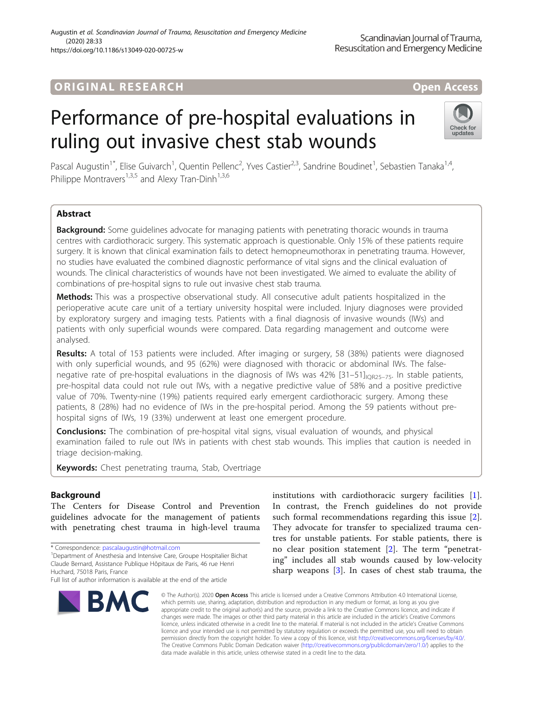# **ORIGINAL RESEARCH And Access** open Access

# Performance of pre-hospital evaluations in ruling out invasive chest stab wounds



Pascal Augustin<sup>1\*</sup>, Elise Guivarch<sup>1</sup>, Quentin Pellenc<sup>2</sup>, Yves Castier<sup>2,3</sup>, Sandrine Boudinet<sup>1</sup>, Sebastien Tanaka<sup>1,4</sup>, Philippe Montravers<sup>1,3,5</sup> and Alexy Tran-Dinh<sup>1,3,6</sup>

# Abstract

**Background:** Some quidelines advocate for managing patients with penetrating thoracic wounds in trauma centres with cardiothoracic surgery. This systematic approach is questionable. Only 15% of these patients require surgery. It is known that clinical examination fails to detect hemopneumothorax in penetrating trauma. However, no studies have evaluated the combined diagnostic performance of vital signs and the clinical evaluation of wounds. The clinical characteristics of wounds have not been investigated. We aimed to evaluate the ability of combinations of pre-hospital signs to rule out invasive chest stab trauma.

Methods: This was a prospective observational study. All consecutive adult patients hospitalized in the perioperative acute care unit of a tertiary university hospital were included. Injury diagnoses were provided by exploratory surgery and imaging tests. Patients with a final diagnosis of invasive wounds (IWs) and patients with only superficial wounds were compared. Data regarding management and outcome were analysed.

Results: A total of 153 patients were included. After imaging or surgery, 58 (38%) patients were diagnosed with only superficial wounds, and 95 (62%) were diagnosed with thoracic or abdominal IWs. The falsenegative rate of pre-hospital evaluations in the diagnosis of IWs was  $42\%$  [31–51]<sub>IOR25–75</sub>. In stable patients, pre-hospital data could not rule out IWs, with a negative predictive value of 58% and a positive predictive value of 70%. Twenty-nine (19%) patients required early emergent cardiothoracic surgery. Among these patients, 8 (28%) had no evidence of IWs in the pre-hospital period. Among the 59 patients without prehospital signs of IWs, 19 (33%) underwent at least one emergent procedure.

**Conclusions:** The combination of pre-hospital vital signs, visual evaluation of wounds, and physical examination failed to rule out IWs in patients with chest stab wounds. This implies that caution is needed in triage decision-making.

Keywords: Chest penetrating trauma, Stab, Overtriage

# Background

The Centers for Disease Control and Prevention guidelines advocate for the management of patients with penetrating chest trauma in high-level trauma

Full list of author information is available at the end of the article



institutions with cardiothoracic surgery facilities [\[1](#page-8-0)]. In contrast, the French guidelines do not provide such formal recommendations regarding this issue [\[2](#page-8-0)]. They advocate for transfer to specialized trauma centres for unstable patients. For stable patients, there is no clear position statement [\[2](#page-8-0)]. The term "penetrating" includes all stab wounds caused by low-velocity sharp weapons [\[3\]](#page-8-0). In cases of chest stab trauma, the

© The Author(s), 2020 **Open Access** This article is licensed under a Creative Commons Attribution 4.0 International License, which permits use, sharing, adaptation, distribution and reproduction in any medium or format, as long as you give appropriate credit to the original author(s) and the source, provide a link to the Creative Commons licence, and indicate if changes were made. The images or other third party material in this article are included in the article's Creative Commons licence, unless indicated otherwise in a credit line to the material. If material is not included in the article's Creative Commons licence and your intended use is not permitted by statutory regulation or exceeds the permitted use, you will need to obtain permission directly from the copyright holder. To view a copy of this licence, visit [http://creativecommons.org/licenses/by/4.0/.](http://creativecommons.org/licenses/by/4.0/) The Creative Commons Public Domain Dedication waiver [\(http://creativecommons.org/publicdomain/zero/1.0/](http://creativecommons.org/publicdomain/zero/1.0/)) applies to the data made available in this article, unless otherwise stated in a credit line to the data.

<sup>\*</sup> Correspondence: [pascalaugustin@hotmail.com](mailto:pascalaugustin@hotmail.com) <sup>1</sup>

<sup>&</sup>lt;sup>1</sup>Department of Anesthesia and Intensive Care, Groupe Hospitalier Bichat Claude Bernard, Assistance Publique Hôpitaux de Paris, 46 rue Henri Huchard, 75018 Paris, France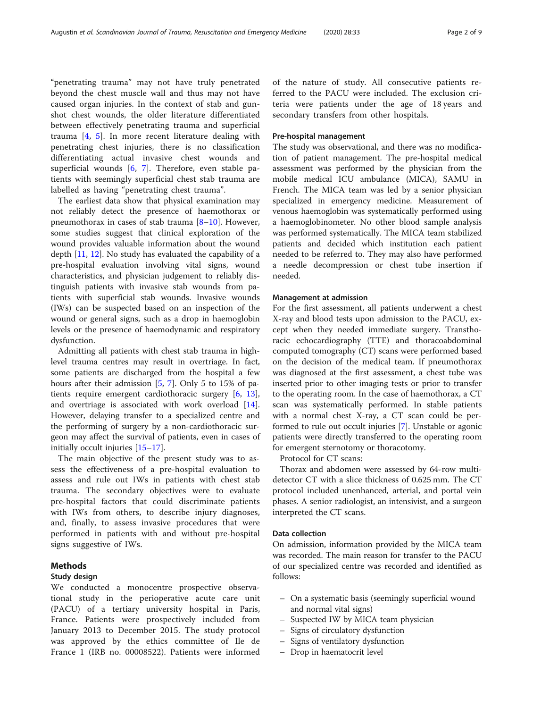"penetrating trauma" may not have truly penetrated beyond the chest muscle wall and thus may not have caused organ injuries. In the context of stab and gunshot chest wounds, the older literature differentiated between effectively penetrating trauma and superficial trauma [[4,](#page-8-0) [5\]](#page-8-0). In more recent literature dealing with penetrating chest injuries, there is no classification differentiating actual invasive chest wounds and superficial wounds  $[6, 7]$  $[6, 7]$  $[6, 7]$  $[6, 7]$  $[6, 7]$ . Therefore, even stable patients with seemingly superficial chest stab trauma are labelled as having "penetrating chest trauma".

The earliest data show that physical examination may not reliably detect the presence of haemothorax or pneumothorax in cases of stab trauma  $[8-10]$  $[8-10]$  $[8-10]$  $[8-10]$  $[8-10]$ . However, some studies suggest that clinical exploration of the wound provides valuable information about the wound depth [\[11,](#page-8-0) [12\]](#page-8-0). No study has evaluated the capability of a pre-hospital evaluation involving vital signs, wound characteristics, and physician judgement to reliably distinguish patients with invasive stab wounds from patients with superficial stab wounds. Invasive wounds (IWs) can be suspected based on an inspection of the wound or general signs, such as a drop in haemoglobin levels or the presence of haemodynamic and respiratory dysfunction.

Admitting all patients with chest stab trauma in highlevel trauma centres may result in overtriage. In fact, some patients are discharged from the hospital a few hours after their admission [\[5](#page-8-0), [7](#page-8-0)]. Only 5 to 15% of patients require emergent cardiothoracic surgery [\[6](#page-8-0), [13](#page-8-0)], and overtriage is associated with work overload [\[14](#page-8-0)]. However, delaying transfer to a specialized centre and the performing of surgery by a non-cardiothoracic surgeon may affect the survival of patients, even in cases of initially occult injuries [[15](#page-8-0)–[17\]](#page-8-0).

The main objective of the present study was to assess the effectiveness of a pre-hospital evaluation to assess and rule out IWs in patients with chest stab trauma. The secondary objectives were to evaluate pre-hospital factors that could discriminate patients with IWs from others, to describe injury diagnoses, and, finally, to assess invasive procedures that were performed in patients with and without pre-hospital signs suggestive of IWs.

# Methods

## Study design

We conducted a monocentre prospective observational study in the perioperative acute care unit (PACU) of a tertiary university hospital in Paris, France. Patients were prospectively included from January 2013 to December 2015. The study protocol was approved by the ethics committee of Ile de France 1 (IRB no. 00008522). Patients were informed of the nature of study. All consecutive patients referred to the PACU were included. The exclusion criteria were patients under the age of 18 years and secondary transfers from other hospitals.

# Pre-hospital management

The study was observational, and there was no modification of patient management. The pre-hospital medical assessment was performed by the physician from the mobile medical ICU ambulance (MICA), SAMU in French. The MICA team was led by a senior physician specialized in emergency medicine. Measurement of venous haemoglobin was systematically performed using a haemoglobinometer. No other blood sample analysis was performed systematically. The MICA team stabilized patients and decided which institution each patient needed to be referred to. They may also have performed a needle decompression or chest tube insertion if needed.

# Management at admission

For the first assessment, all patients underwent a chest X-ray and blood tests upon admission to the PACU, except when they needed immediate surgery. Transthoracic echocardiography (TTE) and thoracoabdominal computed tomography (CT) scans were performed based on the decision of the medical team. If pneumothorax was diagnosed at the first assessment, a chest tube was inserted prior to other imaging tests or prior to transfer to the operating room. In the case of haemothorax, a CT scan was systematically performed. In stable patients with a normal chest X-ray, a CT scan could be performed to rule out occult injuries [\[7\]](#page-8-0). Unstable or agonic patients were directly transferred to the operating room for emergent sternotomy or thoracotomy.

Protocol for CT scans:

Thorax and abdomen were assessed by 64-row multidetector CT with a slice thickness of 0.625 mm. The CT protocol included unenhanced, arterial, and portal vein phases. A senior radiologist, an intensivist, and a surgeon interpreted the CT scans.

# Data collection

On admission, information provided by the MICA team was recorded. The main reason for transfer to the PACU of our specialized centre was recorded and identified as follows:

- On a systematic basis (seemingly superficial wound and normal vital signs)
- Suspected IW by MICA team physician
- Signs of circulatory dysfunction
- Signs of ventilatory dysfunction
- Drop in haematocrit level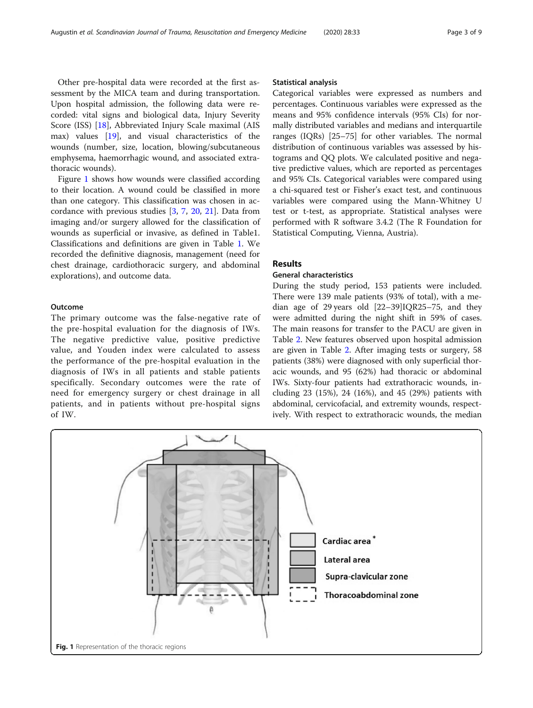Other pre-hospital data were recorded at the first assessment by the MICA team and during transportation. Upon hospital admission, the following data were recorded: vital signs and biological data, Injury Severity Score (ISS) [\[18](#page-8-0)], Abbreviated Injury Scale maximal (AIS max) values [\[19](#page-8-0)], and visual characteristics of the wounds (number, size, location, blowing/subcutaneous emphysema, haemorrhagic wound, and associated extrathoracic wounds).

Figure 1 shows how wounds were classified according to their location. A wound could be classified in more than one category. This classification was chosen in accordance with previous studies [\[3](#page-8-0), [7,](#page-8-0) [20](#page-8-0), [21\]](#page-8-0). Data from imaging and/or surgery allowed for the classification of wounds as superficial or invasive, as defined in Table1. Classifications and definitions are given in Table [1](#page-3-0). We recorded the definitive diagnosis, management (need for chest drainage, cardiothoracic surgery, and abdominal explorations), and outcome data.

# Outcome

The primary outcome was the false-negative rate of the pre-hospital evaluation for the diagnosis of IWs. The negative predictive value, positive predictive value, and Youden index were calculated to assess the performance of the pre-hospital evaluation in the diagnosis of IWs in all patients and stable patients specifically. Secondary outcomes were the rate of need for emergency surgery or chest drainage in all patients, and in patients without pre-hospital signs of IW.

## Statistical analysis

Categorical variables were expressed as numbers and percentages. Continuous variables were expressed as the means and 95% confidence intervals (95% CIs) for normally distributed variables and medians and interquartile ranges (IQRs) [25–75] for other variables. The normal distribution of continuous variables was assessed by histograms and QQ plots. We calculated positive and negative predictive values, which are reported as percentages and 95% CIs. Categorical variables were compared using a chi-squared test or Fisher's exact test, and continuous variables were compared using the Mann-Whitney U test or t-test, as appropriate. Statistical analyses were performed with R software 3.4.2 (The R Foundation for Statistical Computing, Vienna, Austria).

# Results

# General characteristics

During the study period, 153 patients were included. There were 139 male patients (93% of total), with a median age of 29 years old [22–39]IQR25–75, and they were admitted during the night shift in 59% of cases. The main reasons for transfer to the PACU are given in Table [2.](#page-3-0) New features observed upon hospital admission are given in Table [2](#page-3-0). After imaging tests or surgery, 58 patients (38%) were diagnosed with only superficial thoracic wounds, and 95 (62%) had thoracic or abdominal IWs. Sixty-four patients had extrathoracic wounds, including 23 (15%), 24 (16%), and 45 (29%) patients with abdominal, cervicofacial, and extremity wounds, respectively. With respect to extrathoracic wounds, the median

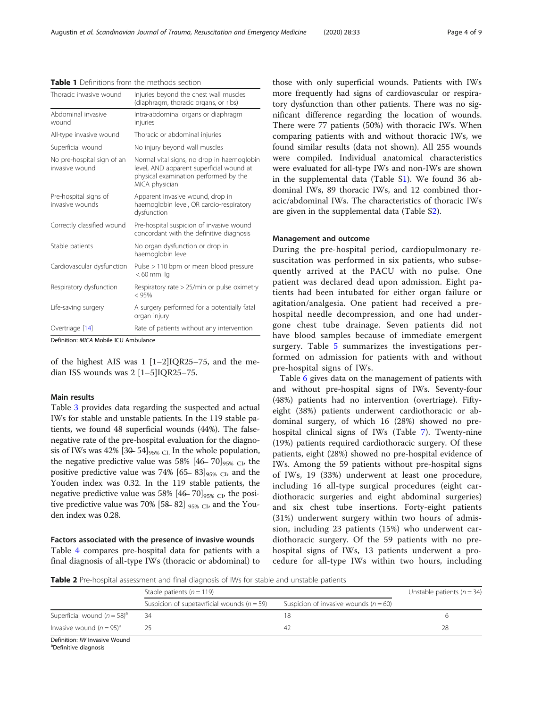<span id="page-3-0"></span>

|  | <b>Table 1</b> Definitions from the methods section |  |  |  |  |
|--|-----------------------------------------------------|--|--|--|--|
|--|-----------------------------------------------------|--|--|--|--|

| Thoracic invasive wound                      | Injuries beyond the chest wall muscles<br>(diaphragm, thoracic organs, or ribs)                                                                   |
|----------------------------------------------|---------------------------------------------------------------------------------------------------------------------------------------------------|
| Abdominal invasive<br>wound                  | Intra-abdominal organs or diaphragm<br>injuries                                                                                                   |
| All-type invasive wound                      | Thoracic or abdominal injuries                                                                                                                    |
| Superficial wound                            | No injury beyond wall muscles                                                                                                                     |
| No pre-hospital sign of an<br>invasive wound | Normal vital signs, no drop in haemoglobin<br>level, AND apparent superficial wound at<br>physical examination performed by the<br>MICA physician |
| Pre-hospital signs of<br>invasive wounds     | Apparent invasive wound, drop in<br>haemoglobin level, OR cardio-respiratory<br>dysfunction                                                       |
| Correctly classified wound                   | Pre-hospital suspicion of invasive wound<br>concordant with the definitive diagnosis                                                              |
| Stable patients                              | No organ dysfunction or drop in<br>haemoglobin level                                                                                              |
| Cardiovascular dysfunction                   | Pulse > 110 bpm or mean blood pressure<br>$< 60$ mmHa                                                                                             |
| Respiratory dysfunction                      | Respiratory rate $> 25$ /min or pulse oximetry<br>< 95%                                                                                           |
| Life-saving surgery                          | A surgery performed for a potentially fatal<br>organ injury                                                                                       |
| Overtriage [14]                              | Rate of patients without any intervention                                                                                                         |

Definition: MICA Mobile ICU Ambulance

of the highest AIS was 1 [1–2]IQR25–75, and the median ISS wounds was 2 [1–5]IQR25–75.

# Main results

Table [3](#page-4-0) provides data regarding the suspected and actual IWs for stable and unstable patients. In the 119 stable patients, we found 48 superficial wounds (44%). The falsenegative rate of the pre-hospital evaluation for the diagnosis of IWs was 42% [30– 54] $_{95\%}$  CI. In the whole population, the negative predictive value was 58%  $[46-70]_{95\%}$  <sub>CI</sub>, the positive predictive value was 74%  $[65-83]_{95\%}$  CI, and the Youden index was 0.32. In the 119 stable patients, the negative predictive value was 58%  $[46-70]_{95\% \text{ CL}}$ , the positive predictive value was 70% [58–82]  $_{95\%}$  CI, and the Youden index was 0.28.

Factors associated with the presence of invasive wounds Table [4](#page-5-0) compares pre-hospital data for patients with a final diagnosis of all-type IWs (thoracic or abdominal) to those with only superficial wounds. Patients with IWs more frequently had signs of cardiovascular or respiratory dysfunction than other patients. There was no significant difference regarding the location of wounds. There were 77 patients (50%) with thoracic IWs. When comparing patients with and without thoracic IWs, we found similar results (data not shown). All 255 wounds were compiled. Individual anatomical characteristics were evaluated for all-type IWs and non-IWs are shown in the supplemental data (Table [S1\)](#page-7-0). We found 36 abdominal IWs, 89 thoracic IWs, and 12 combined thoracic/abdominal IWs. The characteristics of thoracic IWs are given in the supplemental data (Table [S2](#page-7-0)).

# Management and outcome

During the pre-hospital period, cardiopulmonary resuscitation was performed in six patients, who subsequently arrived at the PACU with no pulse. One patient was declared dead upon admission. Eight patients had been intubated for either organ failure or agitation/analgesia. One patient had received a prehospital needle decompression, and one had undergone chest tube drainage. Seven patients did not have blood samples because of immediate emergent surgery. Table [5](#page-5-0) summarizes the investigations performed on admission for patients with and without pre-hospital signs of IWs.

Table [6](#page-6-0) gives data on the management of patients with and without pre-hospital signs of IWs. Seventy-four (48%) patients had no intervention (overtriage). Fiftyeight (38%) patients underwent cardiothoracic or abdominal surgery, of which 16 (28%) showed no prehospital clinical signs of IWs (Table [7\)](#page-6-0). Twenty-nine (19%) patients required cardiothoracic surgery. Of these patients, eight (28%) showed no pre-hospital evidence of IWs. Among the 59 patients without pre-hospital signs of IWs, 19 (33%) underwent at least one procedure, including 16 all-type surgical procedures (eight cardiothoracic surgeries and eight abdominal surgeries) and six chest tube insertions. Forty-eight patients (31%) underwent surgery within two hours of admission, including 23 patients (15%) who underwent cardiothoracic surgery. Of the 59 patients with no prehospital signs of IWs, 13 patients underwent a procedure for all-type IWs within two hours, including

Table 2 Pre-hospital assessment and final diagnosis of IWs for stable and unstable patients

|                                                                    | Stable patients ( $n = 119$ )                   |                                           | Unstable patients ( $n = 34$ ) |
|--------------------------------------------------------------------|-------------------------------------------------|-------------------------------------------|--------------------------------|
|                                                                    | Suspicion of supetavrficial wounds ( $n = 59$ ) | Suspicion of invasive wounds ( $n = 60$ ) |                                |
| Superficial wound $(n = 58)^3$                                     | 34                                              |                                           |                                |
| Invasive wound $(n = 95)^a$                                        | 25                                              | 42                                        | 28                             |
| Definition: /W Invasive Wound<br><sup>a</sup> Definitive diagnosis |                                                 |                                           |                                |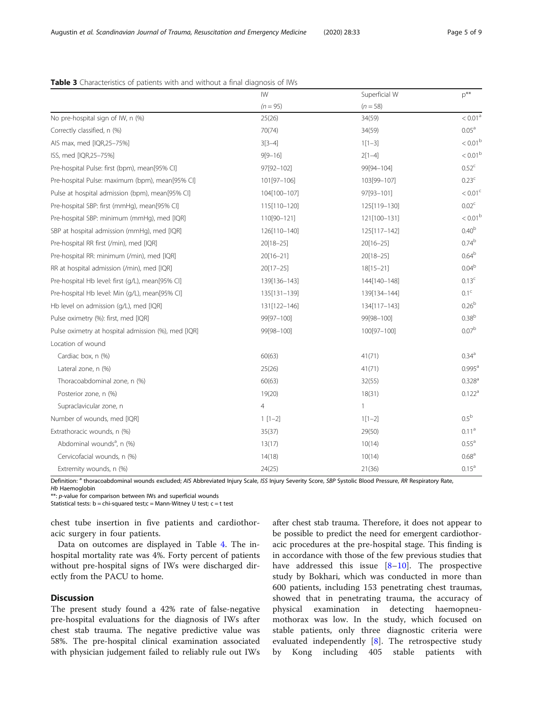|                                                     | IW             | Superficial W | $p^{**}$             |
|-----------------------------------------------------|----------------|---------------|----------------------|
|                                                     | $(n = 95)$     | $(n = 58)$    |                      |
| No pre-hospital sign of IW, n (%)                   | 25(26)         | 34(59)        | < 0.01 <sup>a</sup>  |
| Correctly classified, n (%)                         | 70(74)         | 34(59)        | $0.05^{\text{a}}$    |
| AIS max, med [IQR,25-75%]                           | $3[3-4]$       | $1[1-3]$      | < 0.01 <sup>b</sup>  |
| ISS, med [IQR,25-75%]                               | $9[9 - 16]$    | $2[1-4]$      | < 0.01 <sup>b</sup>  |
| Pre-hospital Pulse: first (bpm), mean[95% CI]       | 97[92-102]     | 99[94-104]    | 0.52 <sup>c</sup>    |
| Pre-hospital Pulse: maximum (bpm), mean[95% CI]     | 101[97-106]    | 103[99-107]   | 0.23 <sup>c</sup>    |
| Pulse at hospital admission (bpm), mean[95% CI]     | 104[100-107]   | 97[93-101]    | $< 0.01^{\circ}$     |
| Pre-hospital SBP: first (mmHg), mean[95% CI]        | 115[110-120]   | 125[119-130]  | 0.02 <sup>c</sup>    |
| Pre-hospital SBP: minimum (mmHg), med [IQR]         | 110[90-121]    | 121[100-131]  | < 0.01 <sup>b</sup>  |
| SBP at hospital admission (mmHq), med [IQR]         | 126[110-140]   | 125[117-142]  | 0.40 <sup>b</sup>    |
| Pre-hospital RR first (/min), med [IQR]             | 20   18 - 25 ] | $20[16 - 25]$ | 0.74 <sup>b</sup>    |
| Pre-hospital RR: minimum (/min), med [IQR]          | 20[16-21]      | 20[18-25]     | 0.64 <sup>b</sup>    |
| RR at hospital admission (/min), med [IQR]          | 20[17-25]      | $18[15 - 21]$ | 0.04 <sup>b</sup>    |
| Pre-hospital Hb level: first (q/L), mean[95% CI]    | 139[136-143]   | 144[140-148]  | 0.13 <sup>c</sup>    |
| Pre-hospital Hb level: Min (q/L), mean[95% CI]      | 135[131-139]   | 139[134-144]  | 0.1 <sup>c</sup>     |
| Hb level on admission (g/L), med [IQR]              | 131[122-146]   | 134[117-143]  | 0.26 <sup>b</sup>    |
| Pulse oximetry (%): first, med [IQR]                | 99[97-100]     | 99[98-100]    | 0.38 <sup>b</sup>    |
| Pulse oximetry at hospital admission (%), med [IQR] | 99[98-100]     | 100[97-100]   | 0.07 <sup>b</sup>    |
| Location of wound                                   |                |               |                      |
| Cardiac box, n (%)                                  | 60(63)         | 41(71)        | 0.34 <sup>a</sup>    |
| Lateral zone, n (%)                                 | 25(26)         | 41(71)        | $0.995$ <sup>a</sup> |
| Thoracoabdominal zone, n (%)                        | 60(63)         | 32(55)        | 0.328 <sup>a</sup>   |
| Posterior zone, n (%)                               | 19(20)         | 18(31)        | 0.122 <sup>a</sup>   |
| Supraclavicular zone, n                             | $\overline{4}$ | $\mathbf{1}$  |                      |
| Number of wounds, med [IQR]                         | $1$ $[1-2]$    | $1[1-2]$      | $0.5^{\rm b}$        |
| Extrathoracic wounds, n (%)                         | 35(37)         | 29(50)        | 0.11 <sup>a</sup>    |
| Abdominal wounds <sup>a</sup> , n (%)               | 13(17)         | 10(14)        | 0.55 <sup>a</sup>    |
| Cervicofacial wounds, n (%)                         | 14(18)         | 10(14)        | 0.68 <sup>a</sup>    |
| Extremity wounds, n (%)                             | 24(25)         | 21(36)        | $0.15^a$             |

<span id="page-4-0"></span>

Definition: <sup>a</sup> thoracoabdominal wounds excluded; AIS Abbreviated Injury Scale, ISS Injury Severity Score, SBP Systolic Blood Pressure, RR Respiratory Rate,

Hb Haemoglobin

\*\*: p-value for comparison between IWs and superficial wounds

Statistical tests:  $b = \text{chi-squared test}; c = \text{Mann-Witney U test}; c = t \text{ test}$ 

chest tube insertion in five patients and cardiothoracic surgery in four patients.

Data on outcomes are displayed in Table [4.](#page-5-0) The inhospital mortality rate was 4%. Forty percent of patients without pre-hospital signs of IWs were discharged directly from the PACU to home.

# **Discussion**

The present study found a 42% rate of false-negative pre-hospital evaluations for the diagnosis of IWs after chest stab trauma. The negative predictive value was 58%. The pre-hospital clinical examination associated with physician judgement failed to reliably rule out IWs

after chest stab trauma. Therefore, it does not appear to be possible to predict the need for emergent cardiothoracic procedures at the pre-hospital stage. This finding is in accordance with those of the few previous studies that have addressed this issue [\[8](#page-8-0)-[10](#page-8-0)]. The prospective study by Bokhari, which was conducted in more than 600 patients, including 153 penetrating chest traumas, showed that in penetrating trauma, the accuracy of physical examination in detecting haemopneumothorax was low. In the study, which focused on stable patients, only three diagnostic criteria were evaluated independently [[8\]](#page-8-0). The retrospective study by Kong including 405 stable patients with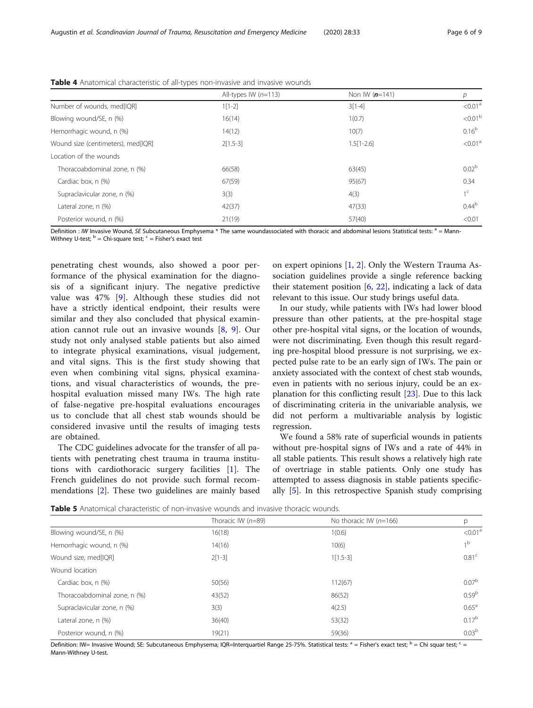|                                    | All-types IW $(n=113)$ | Non IW $(n=141)$ | р                   |
|------------------------------------|------------------------|------------------|---------------------|
| Number of wounds, med[IQR]         | $1[1-2]$               | $3[1-4]$         | < 0.01 <sup>a</sup> |
| Blowing wound/SE, n (%)            | 16(14)                 | 1(0.7)           | < 0.01 <sup>b</sup> |
| Hemorrhagic wound, n (%)           | 14(12)                 | 10(7)            | $0.16^{b}$          |
| Wound size (centimeters), med[IQR] | $2[1.5-3]$             | $1.5[1-2.6]$     | < 0.01 <sup>a</sup> |
| Location of the wounds             |                        |                  |                     |
| Thoracoabdominal zone, n (%)       | 66(58)                 | 63(45)           | 0.02 <sup>b</sup>   |
| Cardiac box, n (%)                 | 67(59)                 | 95(67)           | 0.34                |
| Supraclavicular zone, n (%)        | 3(3)                   | 4(3)             | 1 <sup>c</sup>      |
| Lateral zone, n (%)                | 42(37)                 | 47(33)           | $0.44^{b}$          |
| Posterior wound, n (%)             | 21(19)                 | 57(40)           | < 0.01              |

<span id="page-5-0"></span>Table 4 Anatomical characteristic of all-types non-invasive and invasive wounds

Definition : IW Invasive Wound, SE Subcutaneous Emphysema \* The same woundassociated with thoracic and abdominal lesions Statistical tests:  $a =$  Mann-Withney U-test;  $\mathbf{b} = \mathsf{Chi}\text{-}\mathsf{square}$  test;  $\mathbf{c} = \mathsf{Fisher}\text{'}\mathsf{s}$  exact test

penetrating chest wounds, also showed a poor performance of the physical examination for the diagnosis of a significant injury. The negative predictive value was 47% [\[9](#page-8-0)]. Although these studies did not have a strictly identical endpoint, their results were similar and they also concluded that physical examination cannot rule out an invasive wounds [[8,](#page-8-0) [9\]](#page-8-0). Our study not only analysed stable patients but also aimed to integrate physical examinations, visual judgement, and vital signs. This is the first study showing that even when combining vital signs, physical examinations, and visual characteristics of wounds, the prehospital evaluation missed many IWs. The high rate of false-negative pre-hospital evaluations encourages us to conclude that all chest stab wounds should be considered invasive until the results of imaging tests are obtained.

The CDC guidelines advocate for the transfer of all patients with penetrating chest trauma in trauma institutions with cardiothoracic surgery facilities [[1\]](#page-8-0). The French guidelines do not provide such formal recommendations [[2\]](#page-8-0). These two guidelines are mainly based on expert opinions [\[1](#page-8-0), [2](#page-8-0)]. Only the Western Trauma Association guidelines provide a single reference backing their statement position  $[6, 22]$  $[6, 22]$  $[6, 22]$  $[6, 22]$ , indicating a lack of data relevant to this issue. Our study brings useful data.

In our study, while patients with IWs had lower blood pressure than other patients, at the pre-hospital stage other pre-hospital vital signs, or the location of wounds, were not discriminating. Even though this result regarding pre-hospital blood pressure is not surprising, we expected pulse rate to be an early sign of IWs. The pain or anxiety associated with the context of chest stab wounds, even in patients with no serious injury, could be an explanation for this conflicting result [[23](#page-8-0)]. Due to this lack of discriminating criteria in the univariable analysis, we did not perform a multivariable analysis by logistic regression.

We found a 58% rate of superficial wounds in patients without pre-hospital signs of IWs and a rate of 44% in all stable patients. This result shows a relatively high rate of overtriage in stable patients. Only one study has attempted to assess diagnosis in stable patients specifically [\[5](#page-8-0)]. In this retrospective Spanish study comprising

**Table 5** Anatomical characteristic of non-invasive wounds and invasive thoracic wounds.

|                              | Thoracic IW $(n=89)$ | No thoracic IW $(n=166)$ | р                   |
|------------------------------|----------------------|--------------------------|---------------------|
| Blowing wound/SE, n (%)      | 16(18)               | 1(0.6)                   | < 0.01 <sup>a</sup> |
| Hemorrhagic wound, n (%)     | 14(16)               | 10(6)                    | 1 <sup>b</sup>      |
| Wound size, med[IQR]         | $2[1-3]$             | $1[1.5-3]$               | 0.81 <sup>c</sup>   |
| Wound location               |                      |                          |                     |
| Cardiac box, n (%)           | 50(56)               | 112(67)                  | 0.07 <sup>b</sup>   |
| Thoracoabdominal zone, n (%) | 43(52)               | 86(52)                   | 0.59 <sup>b</sup>   |
| Supraclavicular zone, n (%)  | 3(3)                 | 4(2.5)                   | $0.65^{\circ}$      |
| Lateral zone, n (%)          | 36(40)               | 53(32)                   | $0.17^{b}$          |
| Posterior wound, n (%)       | 19(21)               | 59(36)                   | 0.03 <sup>b</sup>   |

Definition: IW= Invasive Wound; SE: Subcutaneous Emphysema; IQR=Interquartiel Range 25-75%. Statistical tests: <sup>a</sup> = Fisher's exact test; <sup>b</sup> = Chi squar test; <sup>c</sup> = Mann-Withney U-test.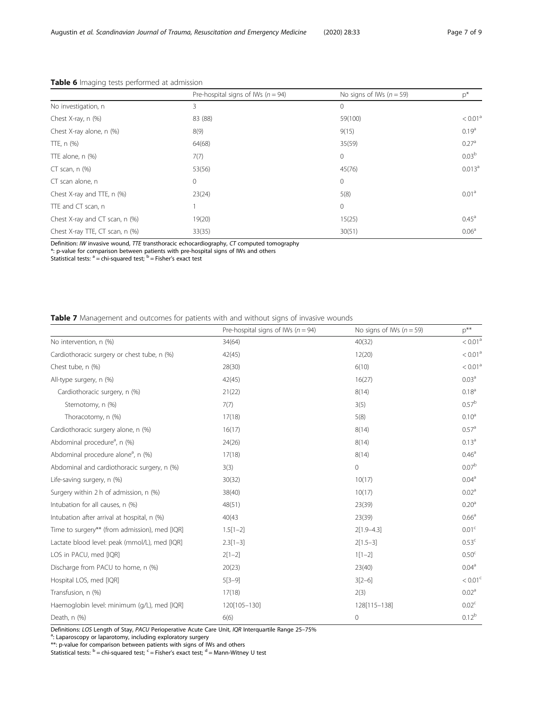|                                 | Pre-hospital signs of IWs ( $n = 94$ ) | No signs of IWs ( $n = 59$ ) | $p^*$               |
|---------------------------------|----------------------------------------|------------------------------|---------------------|
| No investigation, n             | 3                                      | $\mathbf 0$                  |                     |
| Chest X-ray, n (%)              | 83 (88)                                | 59(100)                      | < 0.01 <sup>a</sup> |
| Chest X-ray alone, n (%)        | 8(9)                                   | 9(15)                        | 0.19 <sup>a</sup>   |
| TTE, n (%)                      | 64(68)                                 | 35(59)                       | 0.27 <sup>a</sup>   |
| TTE alone, n (%)                | 7(7)                                   | $\mathbf{0}$                 | 0.03 <sup>b</sup>   |
| $CT$ scan, n $(\%)$             | 53(56)                                 | 45(76)                       | 0.013 <sup>a</sup>  |
| CT scan alone, n                | 0                                      | $\mathbf{0}$                 |                     |
| Chest X-ray and TTE, n (%)      | 23(24)                                 | 5(8)                         | 0.01 <sup>a</sup>   |
| TTE and CT scan, n              |                                        | $\mathbf{0}$                 |                     |
| Chest X-ray and CT scan, n (%)  | 19(20)                                 | 15(25)                       | $0.45^{\circ}$      |
| Chest X-ray TTE, CT scan, n (%) | 33(35)                                 | 30(51)                       | 0.06 <sup>a</sup>   |

# <span id="page-6-0"></span>Table 6 Imaging tests performed at admission

Definition: IW invasive wound, TTE transthoracic echocardiography, CT computed tomography

\*: p-value for comparison between patients with pre-hospital signs of IWs and others<br>Statistical tests: <sup>a</sup> = chi-squared test; <sup>b</sup> = Fisher's exact test

# Table 7 Management and outcomes for patients with and without signs of invasive wounds

|                                                | Pre-hospital signs of IWs ( $n = 94$ ) | No signs of IWs ( $n = 59$ ) | $p^{**}$            |
|------------------------------------------------|----------------------------------------|------------------------------|---------------------|
| No intervention, n (%)                         | 34(64)                                 | 40(32)                       | < 0.01 <sup>a</sup> |
| Cardiothoracic surgery or chest tube, n (%)    | 42(45)                                 | 12(20)                       | $< 0.01a$           |
| Chest tube, n (%)                              | 28(30)                                 | 6(10)                        | < 0.01 <sup>a</sup> |
| All-type surgery, n (%)                        | 42(45)                                 | 16(27)                       | 0.03 <sup>a</sup>   |
| Cardiothoracic surgery, n (%)                  | 21(22)                                 | 8(14)                        | 0.18 <sup>a</sup>   |
| Sternotomy, n (%)                              | 7(7)                                   | 3(5)                         | 0.57 <sup>b</sup>   |
| Thoracotomy, n (%)                             | 17(18)                                 | 5(8)                         | 0.10 <sup>a</sup>   |
| Cardiothoracic surgery alone, n (%)            | 16(17)                                 | 8(14)                        | 0.57 <sup>a</sup>   |
| Abdominal procedure <sup>a</sup> , n (%)       | 24(26)                                 | 8(14)                        | 0.13 <sup>a</sup>   |
| Abdominal procedure alone <sup>a</sup> , n (%) | 17(18)                                 | 8(14)                        | 0.46 <sup>a</sup>   |
| Abdominal and cardiothoracic surgery, n (%)    | 3(3)                                   | $\mathbf{0}$                 | 0.07 <sup>b</sup>   |
| Life-saving surgery, n (%)                     | 30(32)                                 | 10(17)                       | 0.04 <sup>a</sup>   |
| Surgery within 2 h of admission, n (%)         | 38(40)                                 | 10(17)                       | 0.02 <sup>a</sup>   |
| Intubation for all causes, n (%)               | 48(51)                                 | 23(39)                       | 0.20 <sup>a</sup>   |
| Intubation after arrival at hospital, n (%)    | 40(43)                                 | 23(39)                       | 0.66 <sup>a</sup>   |
| Time to surgery** (from admission), med [IQR]  | $1.5[1-2]$                             | $2[1.9 - 4.3]$               | 0.01 <sup>c</sup>   |
| Lactate blood level: peak (mmol/L), med [IQR]  | $2.3[1-3]$                             | $2[1.5-3]$                   | 0.53 <sup>c</sup>   |
| LOS in PACU, med [IQR]                         | $2[1-2]$                               | $1[1-2]$                     | 0.50 <sup>c</sup>   |
| Discharge from PACU to home, n (%)             | 20(23)                                 | 23(40)                       | 0.04 <sup>a</sup>   |
| Hospital LOS, med [IQR]                        | $5[3-9]$                               | $3[2-6]$                     | $< 0.01^{\circ}$    |
| Transfusion, n (%)                             | 17(18)                                 | 2(3)                         | 0.02 <sup>a</sup>   |
| Haemoglobin level: minimum (g/L), med [IQR]    | 120[105-130]                           | 128[115-138]                 | 0.02 <sup>c</sup>   |
| Death, n (%)                                   | 6(6)                                   | 0                            | $0.12^{b}$          |

Definitions: LOS Length of Stay, PACU Perioperative Acute Care Unit, IQR Interquartile Range 25-75%

: Laparoscopy or laparotomy, including exploratory surgery

\*\*: p-value for comparison between patients with signs of IWs and others

Statistical tests:  $b = \text{chi-square}$  test;  $c = \text{Fisher's exact test}$ ;  $d = \text{Mann-Witney } U$  test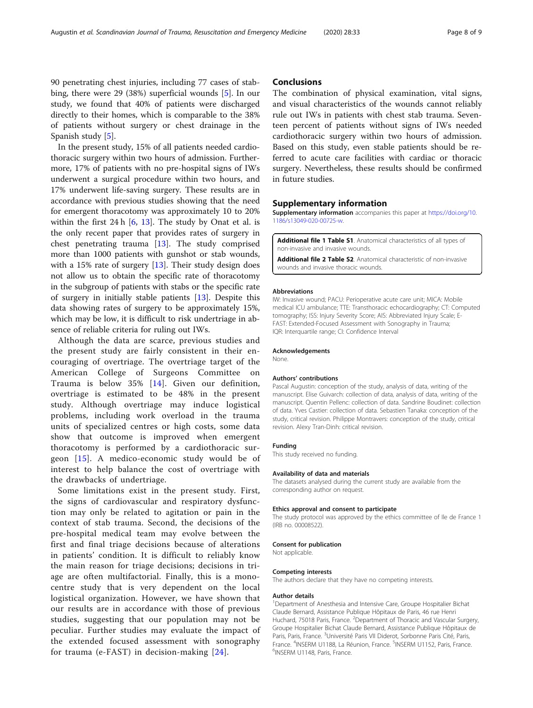<span id="page-7-0"></span>90 penetrating chest injuries, including 77 cases of stabbing, there were 29 (38%) superficial wounds [[5\]](#page-8-0). In our study, we found that 40% of patients were discharged directly to their homes, which is comparable to the 38% of patients without surgery or chest drainage in the Spanish study [\[5](#page-8-0)].

In the present study, 15% of all patients needed cardiothoracic surgery within two hours of admission. Furthermore, 17% of patients with no pre-hospital signs of IWs underwent a surgical procedure within two hours, and 17% underwent life-saving surgery. These results are in accordance with previous studies showing that the need for emergent thoracotomy was approximately 10 to 20% within the first 24 h [[6,](#page-8-0) [13](#page-8-0)]. The study by Onat et al. is the only recent paper that provides rates of surgery in chest penetrating trauma [[13](#page-8-0)]. The study comprised more than 1000 patients with gunshot or stab wounds, with a 15% rate of surgery [[13\]](#page-8-0). Their study design does not allow us to obtain the specific rate of thoracotomy in the subgroup of patients with stabs or the specific rate of surgery in initially stable patients [\[13](#page-8-0)]. Despite this data showing rates of surgery to be approximately 15%, which may be low, it is difficult to risk undertriage in absence of reliable criteria for ruling out IWs.

Although the data are scarce, previous studies and the present study are fairly consistent in their encouraging of overtriage. The overtriage target of the American College of Surgeons Committee on Trauma is below 35% [[14\]](#page-8-0). Given our definition, overtriage is estimated to be 48% in the present study. Although overtriage may induce logistical problems, including work overload in the trauma units of specialized centres or high costs, some data show that outcome is improved when emergent thoracotomy is performed by a cardiothoracic surgeon [[15\]](#page-8-0). A medico-economic study would be of interest to help balance the cost of overtriage with the drawbacks of undertriage.

Some limitations exist in the present study. First, the signs of cardiovascular and respiratory dysfunction may only be related to agitation or pain in the context of stab trauma. Second, the decisions of the pre-hospital medical team may evolve between the first and final triage decisions because of alterations in patients' condition. It is difficult to reliably know the main reason for triage decisions; decisions in triage are often multifactorial. Finally, this is a monocentre study that is very dependent on the local logistical organization. However, we have shown that our results are in accordance with those of previous studies, suggesting that our population may not be peculiar. Further studies may evaluate the impact of the extended focused assessment with sonography for trauma (e-FAST) in decision-making [[24](#page-8-0)].

# **Conclusions**

The combination of physical examination, vital signs, and visual characteristics of the wounds cannot reliably rule out IWs in patients with chest stab trauma. Seventeen percent of patients without signs of IWs needed cardiothoracic surgery within two hours of admission. Based on this study, even stable patients should be referred to acute care facilities with cardiac or thoracic surgery. Nevertheless, these results should be confirmed in future studies.

# Supplementary information

Supplementary information accompanies this paper at [https://doi.org/10.](https://doi.org/10.1186/s13049-020-00725-w) [1186/s13049-020-00725-w](https://doi.org/10.1186/s13049-020-00725-w).

Additional file 1 Table S1. Anatomical characteristics of all types of non-invasive and invasive wounds.

Additional file 2 Table S2. Anatomical characteristic of non-invasive wounds and invasive thoracic wounds.

#### Abbreviations

IW: Invasive wound; PACU: Perioperative acute care unit; MICA: Mobile medical ICU ambulance; TTE: Transthoracic echocardiography; CT: Computed tomography; ISS: Injury Severity Score; AIS: Abbreviated Injury Scale; E-FAST: Extended-Focused Assessment with Sonography in Trauma; IQR: Interquartile range; CI: Confidence Interval

#### Acknowledgements

None.

#### Authors' contributions

Pascal Augustin: conception of the study, analysis of data, writing of the manuscript. Elise Guivarch: collection of data, analysis of data, writing of the manuscript. Quentin Pellenc: collection of data. Sandrine Boudinet: collection of data. Yves Castier: collection of data. Sebastien Tanaka: conception of the study, critical revision. Philippe Montravers: conception of the study, critical revision. Alexy Tran-Dinh: critical revision.

#### Funding

This study received no funding.

#### Availability of data and materials

The datasets analysed during the current study are available from the corresponding author on request.

#### Ethics approval and consent to participate

The study protocol was approved by the ethics committee of Ile de France 1 (IRB no. 00008522).

#### Consent for publication

Not applicable.

#### Competing interests

The authors declare that they have no competing interests.

#### Author details

<sup>1</sup>Department of Anesthesia and Intensive Care, Groupe Hospitalier Bichat Claude Bernard, Assistance Publique Hôpitaux de Paris, 46 rue Henri Huchard, 75018 Paris, France. <sup>2</sup> Department of Thoracic and Vascular Surgery Groupe Hospitalier Bichat Claude Bernard, Assistance Publique Hôpitaux de Paris, Paris, France. <sup>3</sup>Université Paris VII Diderot, Sorbonne Paris Cité, Paris, France. <sup>4</sup>INSERM U1188, La Réunion, France. <sup>5</sup>INSERM U1152, Paris, France.<br><sup>6</sup>INSERM U1148, Paris, Erance. <sup>6</sup>INSERM U1148, Paris, France.